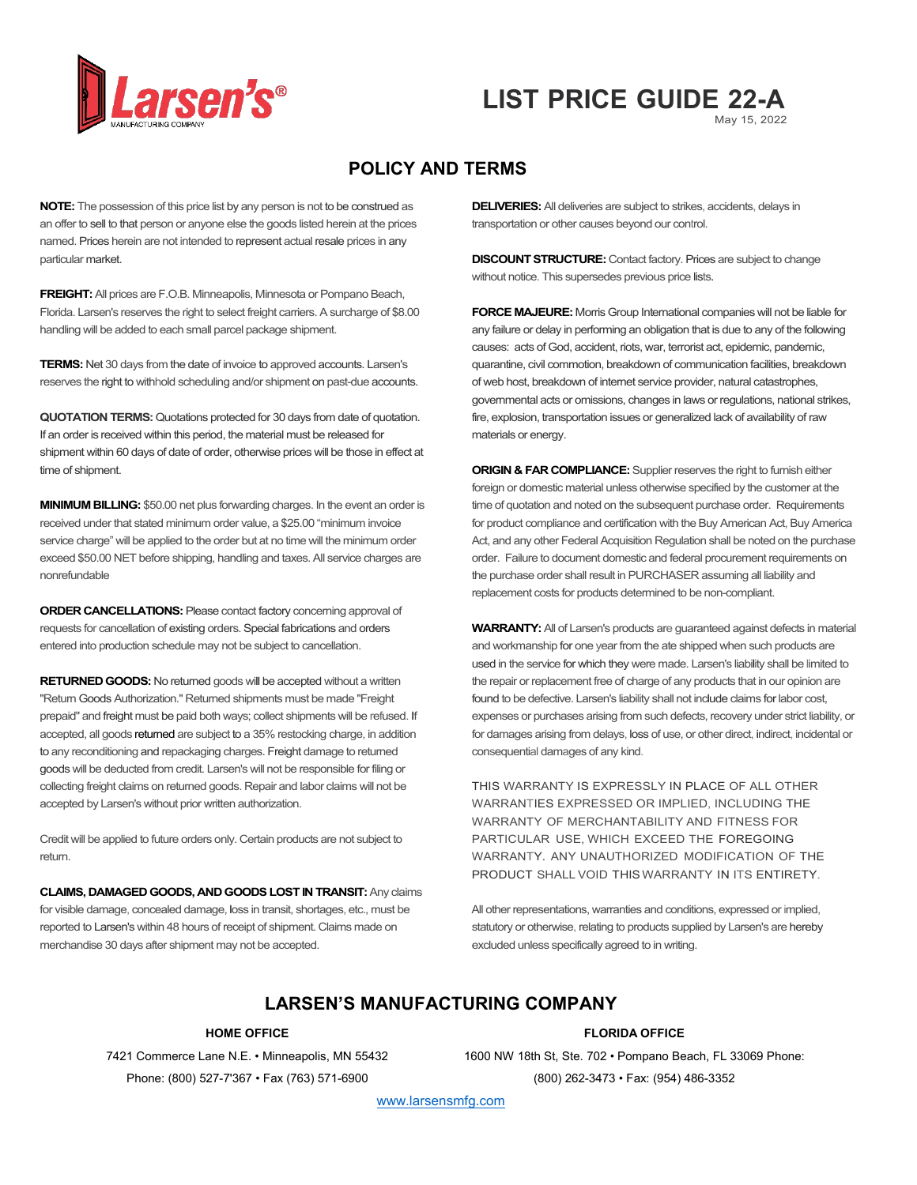

# May 15, 2022 **LIST PRICE GUIDE 22-A**

# **POLICY AND TERMS**

**NOTE:** The possession of this price list by any person is not to be construed as an offer to sell to that person or anyone else the goods listed herein at the prices named. Prices herein are not intended to represent actual resale prices in any particular market.

**FREIGHT:** All prices are F.O.B. Minneapolis, Minnesota or Pompano Beach, Florida. Larsen's reserves the right to select freight carriers. A surcharge of \$8.00 handling will be added to each small parcel package shipment.

**TERMS:** Net 30 days from the date of invoice to approved accounts. Larsen's reserves the right to withhold scheduling and/or shipment on past-due accounts.

**QUOTATION TERMS:** Quotations protected for 30 days from date of quotation. If an order is received within this period, the material must be released for shipment within 60 days of date of order, otherwise prices will be those in effect at time of shipment.

**MINIMUM BILLING:** \$50.00 net plus forwarding charges. In the event an order is received under that stated minimum order value, a \$25.00 "minimum invoice service charge" will be applied to the order but at no time will the minimum order exceed \$50.00 NET before shipping, handling and taxes. All service charges are nonrefundable

**ORDER CANCELLATIONS:** Please contact factory concerning approval of requests for cancellation of existing orders. Special fabrications and orders entered into production schedule may not be subject to cancellation.

**RETURNED GOODS:** No returned goods will be accepted without a written "Return Goods Authorization." Returned shipments must be made "Freight prepaid" and freight must be paid both ways; collect shipments will be refused. If accepted, all goods returned are subject to a 35% restocking charge, in addition to any reconditioning and repackaging charges. Freight damage to returned goods will be deducted from credit. Larsen's will not be responsible for filing or collecting freight claims on returned goods. Repair and labor claims will not be accepted by Larsen's without prior written authorization.

Credit will be applied to future orders only. Certain products are not subject to return.

**CLAIMS, DAMAGED GOODS, AND GOODS LOST IN TRANSIT:** Any claims for visible damage, concealed damage, loss in transit, shortages, etc., must be reported to Larsen's within 48 hours of receipt of shipment. Claims made on merchandise 30 days after shipment may not be accepted.

**DELIVERIES:** All deliveries are subject to strikes, accidents, delays in transportation or other causes beyond our control.

**DISCOUNT STRUCTURE:** Contact factory. Prices are subject to change without notice. This supersedes previous price lists.

**FORCE MAJEURE:** Morris Group International companies will not be liable for any failure or delay in performing an obligation that is due to any of the following causes: acts of God, accident, riots, war, terrorist act, epidemic, pandemic, quarantine, civil commotion, breakdown of communication facilities, breakdown of web host, breakdown of internet service provider, natural catastrophes, governmental acts or omissions, changes in laws or regulations, national strikes, fire, explosion, transportation issues or generalized lack of availability of raw materials or energy.

**ORIGIN & FAR COMPLIANCE:** Supplier reserves the right to furnish either foreign or domestic material unless otherwise specified by the customer at the time of quotation and noted on the subsequent purchase order. Requirements for product compliance and certification with the Buy American Act, Buy America Act, and any other Federal Acquisition Regulation shall be noted on the purchase order. Failure to document domestic and federal procurement requirements on the purchase order shall result in PURCHASER assuming all liability and replacement costs for products determined to be non-compliant.

**WARRANTY:**All of Larsen's products are guaranteed against defects in material and workmanship for one year from the ate shipped when such products are used in the service for which they were made. Larsen's liability shall be limited to the repair or replacement free of charge of any products that in our opinion are found to be defective. Larsen's liability shall not include claims for labor cost, expenses or purchases arising from such defects, recovery under strict liability, or for damages arising from delays, loss of use, or other direct, indirect, incidental or consequential damages of any kind.

THIS WARRANTY IS EXPRESSLY IN PLACE OF ALL OTHER WARRANTIES EXPRESSED OR IMPLIED, INCLUDING THE WARRANTY OF MERCHANTABILITY AND FITNESS FOR PARTICULAR USE, WHICH EXCEED THE FOREGOING WARRANTY. ANY UNAUTHORIZED MODIFICATION OF THE PRODUCT SHALL VOID THIS WARRANTY IN ITS ENTIRETY.

All other representations, warranties and conditions, expressed or implied, statutory or otherwise, relating to products supplied by Larsen's are hereby excluded unless specifically agreed to in writing.

# **LARSEN'S MANUFACTURING COMPANY**

## **HOME OFFICE**

7421 Commerce Lane N.E. • Minneapolis, MN 55432 Phone: (800) 527-7'367 • Fax (763) 571-6900

#### **FLORIDA OFFICE**

1600 NW 18th St, Ste. 702 • Pompano Beach, FL 33069 Phone: (800) 262-3473 • Fax: (954) 486-3352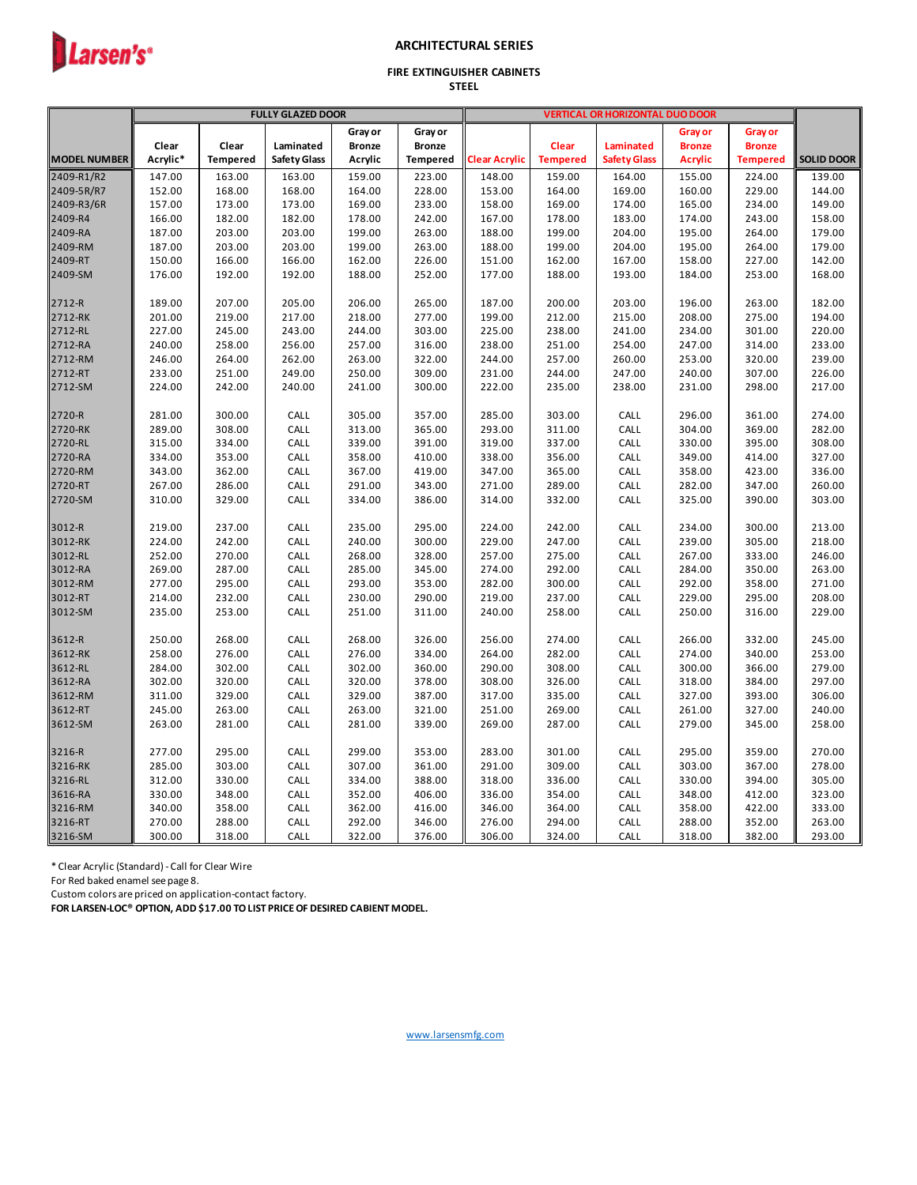# Larsen's®

# **ARCHITECTURAL SERIES**

#### **FIRE EXTINGUISHER CABINETS STEEL**

|                     | <b>FULLY GLAZED DOOR</b> |                 |                     |               |                 | <b>VERTICAL OR HORIZONTAL DUO DOOR</b> |                 |                     |                |                 |                   |
|---------------------|--------------------------|-----------------|---------------------|---------------|-----------------|----------------------------------------|-----------------|---------------------|----------------|-----------------|-------------------|
|                     |                          |                 |                     | Gray or       | Gray or         |                                        |                 |                     | <b>Gray or</b> | <b>Gray or</b>  |                   |
|                     | Clear                    | Clear           | Laminated           | <b>Bronze</b> | <b>Bronze</b>   |                                        | Clear           | <b>Laminated</b>    | <b>Bronze</b>  | <b>Bronze</b>   |                   |
| <b>MODEL NUMBER</b> | Acrylic*                 | <b>Tempered</b> | <b>Safety Glass</b> | Acrylic       | <b>Tempered</b> | <b>Clear Acrylic</b>                   | <b>Tempered</b> | <b>Safety Glass</b> | <b>Acrylic</b> | <b>Tempered</b> | <b>SOLID DOOR</b> |
| 2409-R1/R2          | 147.00                   | 163.00          | 163.00              | 159.00        | 223.00          | 148.00                                 | 159.00          | 164.00              | 155.00         | 224.00          | 139.00            |
| 2409-5R/R7          | 152.00                   | 168.00          | 168.00              | 164.00        | 228.00          | 153.00                                 | 164.00          | 169.00              | 160.00         | 229.00          | 144.00            |
| 2409-R3/6R          | 157.00                   | 173.00          | 173.00              | 169.00        | 233.00          | 158.00                                 | 169.00          | 174.00              | 165.00         | 234.00          | 149.00            |
| 2409-R4             | 166.00                   | 182.00          | 182.00              | 178.00        | 242.00          | 167.00                                 | 178.00          | 183.00              | 174.00         | 243.00          | 158.00            |
| 2409-RA             | 187.00                   | 203.00          | 203.00              | 199.00        | 263.00          | 188.00                                 | 199.00          | 204.00              | 195.00         | 264.00          | 179.00            |
| 2409-RM             | 187.00                   | 203.00          | 203.00              | 199.00        | 263.00          | 188.00                                 | 199.00          | 204.00              | 195.00         | 264.00          | 179.00            |
| 2409-RT             | 150.00                   | 166.00          | 166.00              | 162.00        | 226.00          | 151.00                                 | 162.00          | 167.00              | 158.00         | 227.00          | 142.00            |
| 2409-SM             | 176.00                   | 192.00          | 192.00              | 188.00        | 252.00          | 177.00                                 | 188.00          | 193.00              | 184.00         | 253.00          | 168.00            |
| 2712-R              | 189.00                   | 207.00          | 205.00              | 206.00        | 265.00          | 187.00                                 | 200.00          | 203.00              | 196.00         | 263.00          | 182.00            |
| 2712-RK             | 201.00                   | 219.00          | 217.00              | 218.00        | 277.00          | 199.00                                 | 212.00          | 215.00              | 208.00         | 275.00          | 194.00            |
| 2712-RL             | 227.00                   | 245.00          | 243.00              | 244.00        | 303.00          | 225.00                                 | 238.00          | 241.00              | 234.00         | 301.00          | 220.00            |
| 2712-RA             | 240.00                   | 258.00          | 256.00              | 257.00        | 316.00          | 238.00                                 | 251.00          | 254.00              | 247.00         | 314.00          | 233.00            |
| 2712-RM             | 246.00                   | 264.00          | 262.00              | 263.00        | 322.00          | 244.00                                 | 257.00          | 260.00              | 253.00         | 320.00          | 239.00            |
| 2712-RT             | 233.00                   | 251.00          | 249.00              | 250.00        | 309.00          | 231.00                                 | 244.00          | 247.00              | 240.00         | 307.00          | 226.00            |
| 2712-SM             | 224.00                   | 242.00          | 240.00              | 241.00        | 300.00          | 222.00                                 | 235.00          | 238.00              | 231.00         | 298.00          | 217.00            |
|                     |                          |                 |                     |               |                 |                                        |                 |                     |                |                 |                   |
| 2720-R              | 281.00                   | 300.00          | CALL                | 305.00        | 357.00          | 285.00                                 | 303.00          | CALL                | 296.00         | 361.00          | 274.00            |
| 2720-RK             | 289.00                   | 308.00          | CALL                | 313.00        | 365.00          | 293.00                                 | 311.00          | CALL                | 304.00         | 369.00          | 282.00            |
| 2720-RL             | 315.00                   | 334.00          | CALL                | 339.00        | 391.00          | 319.00                                 | 337.00          | CALL                | 330.00         | 395.00          | 308.00            |
| 2720-RA             | 334.00                   | 353.00          | CALL                | 358.00        | 410.00          | 338.00                                 | 356.00          | CALL                | 349.00         | 414.00          | 327.00            |
| 2720-RM             | 343.00                   | 362.00          | CALL                | 367.00        | 419.00          | 347.00                                 | 365.00          | CALL                | 358.00         | 423.00          | 336.00            |
| 2720-RT             | 267.00                   | 286.00          | CALL                | 291.00        | 343.00          | 271.00                                 | 289.00          | CALL                | 282.00         | 347.00          | 260.00            |
| 2720-SM             | 310.00                   | 329.00          | CALL                | 334.00        | 386.00          | 314.00                                 | 332.00          | CALL                | 325.00         | 390.00          | 303.00            |
| 3012-R              | 219.00                   | 237.00          | CALL                | 235.00        | 295.00          | 224.00                                 | 242.00          | CALL                | 234.00         | 300.00          | 213.00            |
| 3012-RK             | 224.00                   | 242.00          | CALL                | 240.00        | 300.00          | 229.00                                 | 247.00          | CALL                | 239.00         | 305.00          | 218.00            |
| 3012-RL             | 252.00                   | 270.00          | CALL                | 268.00        | 328.00          | 257.00                                 | 275.00          | CALL                | 267.00         | 333.00          | 246.00            |
| 3012-RA             | 269.00                   | 287.00          | CALL                | 285.00        | 345.00          | 274.00                                 | 292.00          | CALL                | 284.00         | 350.00          | 263.00            |
| 3012-RM             | 277.00                   | 295.00          | CALL                | 293.00        | 353.00          | 282.00                                 | 300.00          | CALL                | 292.00         | 358.00          | 271.00            |
| 3012-RT             | 214.00                   | 232.00          | CALL                | 230.00        | 290.00          | 219.00                                 | 237.00          | CALL                | 229.00         | 295.00          | 208.00            |
| 3012-SM             | 235.00                   | 253.00          | CALL                | 251.00        | 311.00          | 240.00                                 | 258.00          | CALL                | 250.00         | 316.00          | 229.00            |
|                     |                          |                 |                     |               |                 |                                        |                 |                     |                |                 |                   |
| 3612-R              | 250.00                   | 268.00          | CALL                | 268.00        | 326.00          | 256.00                                 | 274.00          | CALL                | 266.00         | 332.00          | 245.00            |
| 3612-RK             | 258.00                   | 276.00          | CALL                | 276.00        | 334.00          | 264.00                                 | 282.00          | CALL                | 274.00         | 340.00          | 253.00            |
| 3612-RL             | 284.00                   | 302.00          | CALL                | 302.00        | 360.00          | 290.00                                 | 308.00          | CALL                | 300.00         | 366.00          | 279.00            |
| 3612-RA             | 302.00                   | 320.00          | CALL                | 320.00        | 378.00          | 308.00                                 | 326.00          | CALL                | 318.00         | 384.00          | 297.00            |
| 3612-RM             | 311.00                   | 329.00          | CALL                | 329.00        | 387.00          | 317.00                                 | 335.00          | CALL                | 327.00         | 393.00          | 306.00            |
| 3612-RT             | 245.00                   | 263.00          | CALL                | 263.00        | 321.00          | 251.00                                 | 269.00          | CALL                | 261.00         | 327.00          | 240.00            |
| 3612-SM             | 263.00                   | 281.00          | CALL                | 281.00        | 339.00          | 269.00                                 | 287.00          | CALL                | 279.00         | 345.00          | 258.00            |
| 3216-R              | 277.00                   | 295.00          | CALL                | 299.00        | 353.00          | 283.00                                 | 301.00          | CALL                | 295.00         | 359.00          | 270.00            |
| 3216-RK             | 285.00                   | 303.00          | CALL                | 307.00        | 361.00          | 291.00                                 | 309.00          | CALL                | 303.00         | 367.00          | 278.00            |
| 3216-RL             | 312.00                   | 330.00          | CALL                | 334.00        | 388.00          | 318.00                                 | 336.00          | CALL                | 330.00         | 394.00          | 305.00            |
| 3616-RA             | 330.00                   | 348.00          | CALL                | 352.00        | 406.00          | 336.00                                 | 354.00          | CALL                | 348.00         | 412.00          | 323.00            |
| 3216-RM             | 340.00                   | 358.00          | CALL                | 362.00        | 416.00          | 346.00                                 | 364.00          | CALL                | 358.00         | 422.00          | 333.00            |
| 3216-RT             | 270.00                   | 288.00          | CALL                | 292.00        | 346.00          | 276.00                                 | 294.00          | CALL                | 288.00         | 352.00          | 263.00            |
| 3216-SM             | 300.00                   | 318.00          | CALL                | 322.00        | 376.00          | 306.00                                 | 324.00          | CALL                | 318.00         | 382.00          | 293.00            |

\* Clear Acrylic (Standard) - Call for Clear Wire

For Red baked enamel see page 8.

Custom colors are priced on application-contact factory.

**FOR LARSEN-LOC® OPTION, ADD \$17.00 TO LIST PRICE OF DESIRED CABIENT MODEL.**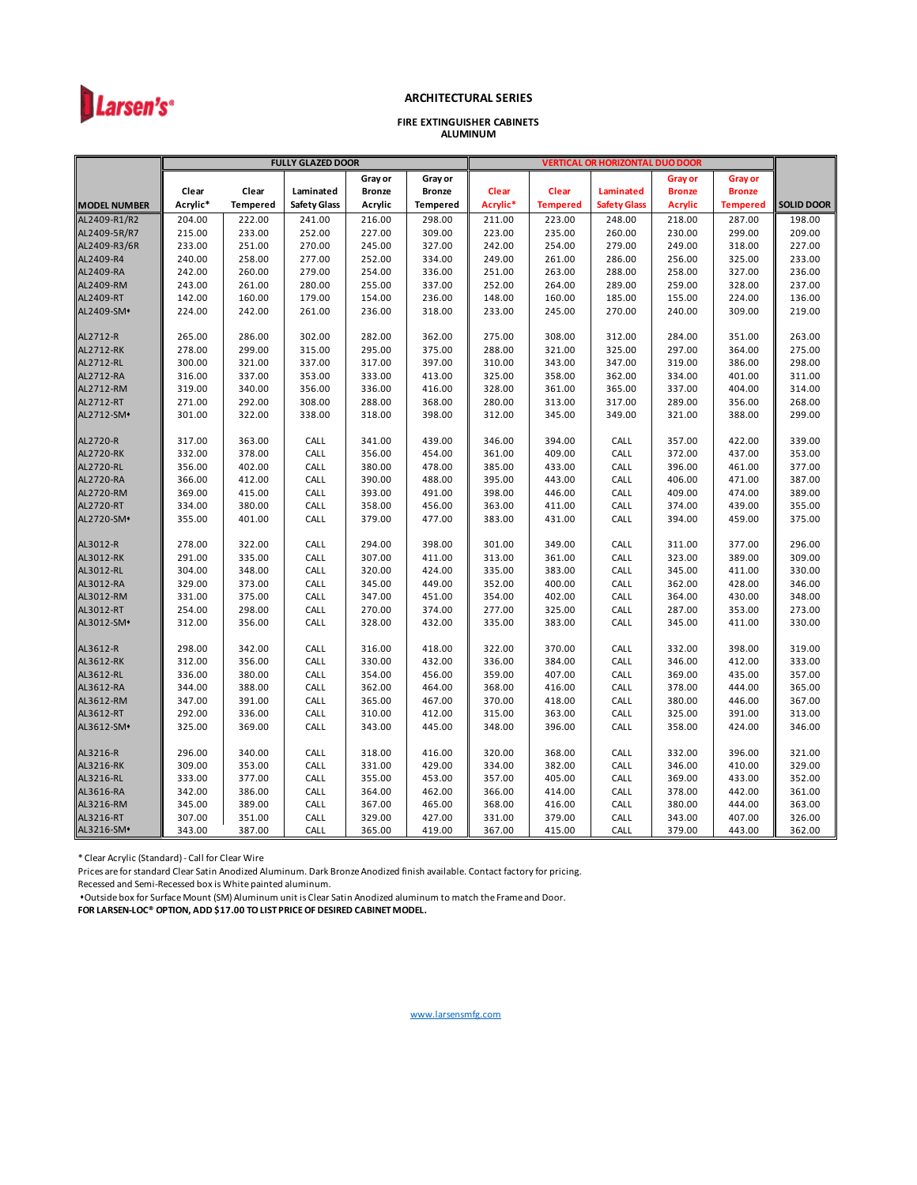

#### **ARCHITECTURAL SERIES**

#### **ALUMINUM FIRE EXTINGUISHER CABINETS**

|                        |          |                 | <b>FULLY GLAZED DOOR</b> |               |                 | <b>VERTICAL OR HORIZONTAL DUO DOOR</b> |                 |                     |                |                 |                   |
|------------------------|----------|-----------------|--------------------------|---------------|-----------------|----------------------------------------|-----------------|---------------------|----------------|-----------------|-------------------|
|                        |          |                 |                          | Gray or       | Gray or         |                                        |                 |                     | Gray or        | Gray or         |                   |
|                        | Clear    | Clear           | Laminated                | <b>Bronze</b> | <b>Bronze</b>   | Clear                                  | Clear           | Laminated           | <b>Bronze</b>  | <b>Bronze</b>   |                   |
| <b>MODEL NUMBER</b>    | Acrylic* | <b>Tempered</b> | <b>Safety Glass</b>      | Acrylic       | <b>Tempered</b> | Acrylic*                               | <b>Tempered</b> | <b>Safety Glass</b> | <b>Acrylic</b> | <b>Tempered</b> | <b>SOLID DOOR</b> |
| AL2409-R1/R2           | 204.00   | 222.00          | 241.00                   | 216.00        | 298.00          | 211.00                                 | 223.00          | 248.00              | 218.00         | 287.00          | 198.00            |
| AL2409-5R/R7           | 215.00   | 233.00          | 252.00                   | 227.00        | 309.00          | 223.00                                 | 235.00          | 260.00              | 230.00         | 299.00          | 209.00            |
| AL2409-R3/6R           | 233.00   | 251.00          | 270.00                   | 245.00        | 327.00          | 242.00                                 | 254.00          | 279.00              | 249.00         | 318.00          | 227.00            |
| AL2409-R4              | 240.00   | 258.00          | 277.00                   | 252.00        | 334.00          | 249.00                                 | 261.00          | 286.00              | 256.00         | 325.00          | 233.00            |
| AL2409-RA              | 242.00   | 260.00          | 279.00                   | 254.00        | 336.00          | 251.00                                 | 263.00          | 288.00              | 258.00         | 327.00          | 236.00            |
| AL2409-RM              | 243.00   | 261.00          | 280.00                   | 255.00        | 337.00          | 252.00                                 | 264.00          | 289.00              | 259.00         | 328.00          | 237.00            |
| AL2409-RT              | 142.00   | 160.00          | 179.00                   | 154.00        | 236.00          | 148.00                                 | 160.00          | 185.00              | 155.00         | 224.00          | 136.00            |
| AL2409-SM <sup>+</sup> | 224.00   | 242.00          | 261.00                   | 236.00        | 318.00          | 233.00                                 | 245.00          | 270.00              | 240.00         | 309.00          | 219.00            |
|                        |          |                 |                          |               |                 |                                        |                 |                     |                |                 |                   |
| AL2712-R               | 265.00   | 286.00          | 302.00                   | 282.00        | 362.00          | 275.00                                 | 308.00          | 312.00              | 284.00         | 351.00          | 263.00            |
| AL2712-RK              | 278.00   | 299.00          | 315.00                   | 295.00        | 375.00          | 288.00                                 | 321.00          | 325.00              | 297.00         | 364.00          | 275.00            |
| AL2712-RL              | 300.00   | 321.00          | 337.00                   | 317.00        | 397.00          | 310.00                                 | 343.00          | 347.00              | 319.00         | 386.00          | 298.00            |
| AL2712-RA              | 316.00   | 337.00          | 353.00                   | 333.00        | 413.00          | 325.00                                 | 358.00          | 362.00              | 334.00         | 401.00          | 311.00            |
| AL2712-RM              | 319.00   | 340.00          | 356.00                   | 336.00        | 416.00          | 328.00                                 | 361.00          | 365.00              | 337.00         | 404.00          | 314.00            |
| AL2712-RT              | 271.00   | 292.00          | 308.00                   | 288.00        | 368.00          | 280.00                                 | 313.00          | 317.00              | 289.00         | 356.00          | 268.00            |
| AL2712-SM*             | 301.00   | 322.00          | 338.00                   | 318.00        | 398.00          | 312.00                                 | 345.00          | 349.00              | 321.00         | 388.00          | 299.00            |
|                        |          |                 |                          |               |                 |                                        |                 |                     |                |                 |                   |
| AL2720-R               | 317.00   | 363.00          | CALL                     | 341.00        | 439.00          | 346.00                                 | 394.00          | CALL                | 357.00         | 422.00          | 339.00            |
| AL2720-RK              | 332.00   | 378.00          | CALL                     | 356.00        | 454.00          | 361.00                                 | 409.00          | CALL                | 372.00         | 437.00          | 353.00            |
| AL2720-RL              | 356.00   | 402.00          | CALL                     | 380.00        | 478.00          | 385.00                                 | 433.00          | CALL                | 396.00         | 461.00          | 377.00            |
| AL2720-RA              | 366.00   | 412.00          | CALL                     | 390.00        | 488.00          | 395.00                                 | 443.00          | CALL                | 406.00         | 471.00          | 387.00            |
| AL2720-RM              | 369.00   | 415.00          | CALL                     | 393.00        | 491.00          | 398.00                                 | 446.00          | CALL                | 409.00         | 474.00          | 389.00            |
| AL2720-RT              | 334.00   | 380.00          | CALL                     | 358.00        | 456.00          | 363.00                                 | 411.00          | CALL                | 374.00         | 439.00          | 355.00            |
| AL2720-SM*             | 355.00   | 401.00          | CALL                     | 379.00        | 477.00          | 383.00                                 | 431.00          | CALL                | 394.00         | 459.00          | 375.00            |
| AL3012-R               | 278.00   | 322.00          | CALL                     | 294.00        | 398.00          | 301.00                                 | 349.00          | CALL                | 311.00         | 377.00          | 296.00            |
| AL3012-RK              | 291.00   | 335.00          | CALL                     | 307.00        | 411.00          | 313.00                                 | 361.00          | CALL                | 323.00         | 389.00          | 309.00            |
| AL3012-RL              | 304.00   | 348.00          | CALL                     | 320.00        | 424.00          | 335.00                                 | 383.00          | CALL                | 345.00         | 411.00          | 330.00            |
| AL3012-RA              | 329.00   | 373.00          | CALL                     | 345.00        | 449.00          | 352.00                                 | 400.00          | CALL                | 362.00         | 428.00          | 346.00            |
| AL3012-RM              | 331.00   | 375.00          | CALL                     | 347.00        | 451.00          | 354.00                                 | 402.00          | CALL                | 364.00         | 430.00          | 348.00            |
| AL3012-RT              | 254.00   | 298.00          | CALL                     | 270.00        | 374.00          | 277.00                                 | 325.00          | CALL                | 287.00         | 353.00          | 273.00            |
| AL3012-SM <sup>+</sup> | 312.00   | 356.00          | CALL                     | 328.00        | 432.00          | 335.00                                 | 383.00          | CALL                | 345.00         | 411.00          | 330.00            |
|                        |          |                 |                          |               |                 |                                        |                 |                     |                |                 |                   |
| AL3612-R               | 298.00   | 342.00          | CALL                     | 316.00        | 418.00          | 322.00                                 | 370.00          | CALL                | 332.00         | 398.00          | 319.00            |
| AL3612-RK              | 312.00   | 356.00          | CALL                     | 330.00        | 432.00          | 336.00                                 | 384.00          | CALL                | 346.00         | 412.00          | 333.00            |
| AL3612-RL              | 336.00   | 380.00          | CALL                     | 354.00        | 456.00          | 359.00                                 | 407.00          | CALL                | 369.00         | 435.00          | 357.00            |
| AL3612-RA              | 344.00   | 388.00          | CALL                     | 362.00        | 464.00          | 368.00                                 | 416.00          | CALL                | 378.00         | 444.00          | 365.00            |
| AL3612-RM              | 347.00   | 391.00          | CALL                     | 365.00        | 467.00          | 370.00                                 | 418.00          | CALL                | 380.00         | 446.00          | 367.00            |
| AL3612-RT              | 292.00   | 336.00          | CALL                     | 310.00        | 412.00          | 315.00                                 | 363.00          | CALL                | 325.00         | 391.00          | 313.00            |
| AL3612-SM*             | 325.00   | 369.00          | CALL                     | 343.00        | 445.00          | 348.00                                 | 396.00          | CALL                | 358.00         | 424.00          | 346.00            |
|                        |          |                 |                          |               |                 |                                        |                 |                     |                |                 |                   |
| AL3216-R               | 296.00   | 340.00          | CALL                     | 318.00        | 416.00          | 320.00                                 | 368.00          | CALL                | 332.00         | 396.00          | 321.00            |
| AL3216-RK              | 309.00   | 353.00          | CALL                     | 331.00        | 429.00          | 334.00                                 | 382.00          | CALL                | 346.00         | 410.00          | 329.00            |
| AL3216-RL              | 333.00   | 377.00          | CALL                     | 355.00        | 453.00          | 357.00                                 | 405.00          | CALL                | 369.00         | 433.00          | 352.00            |
| AL3616-RA              | 342.00   | 386.00          | CALL                     | 364.00        | 462.00          | 366.00                                 | 414.00          | CALL                | 378.00         | 442.00          | 361.00            |
| AL3216-RM              | 345.00   | 389.00          | CALL                     | 367.00        | 465.00          | 368.00                                 | 416.00          | CALL                | 380.00         | 444.00          | 363.00            |
| AL3216-RT              | 307.00   | 351.00          | CALL                     | 329.00        | 427.00          | 331.00                                 | 379.00          | CALL                | 343.00         | 407.00          | 326.00            |
| AL3216-SM*             | 343.00   | 387.00          | CALL                     | 365.00        | 419.00          | 367.00                                 | 415.00          | CALL                | 379.00         | 443.00          | 362.00            |

\* Clear Acrylic (Standard) - Call for Clear Wire

Prices are for standard Clear Satin Anodized Aluminum. Dark Bronze Anodized finish available. Contact factory for pricing.

Recessed and Semi-Recessed box is White painted aluminum.

• Outside box for Surface Mount (SM) Aluminum unit is Clear Satin Anodized aluminum to match the Frame and Door.

**FOR LARSEN-LOC® OPTION, ADD \$17.00 TO LIST PRICE OF DESIRED CABINET MODEL.**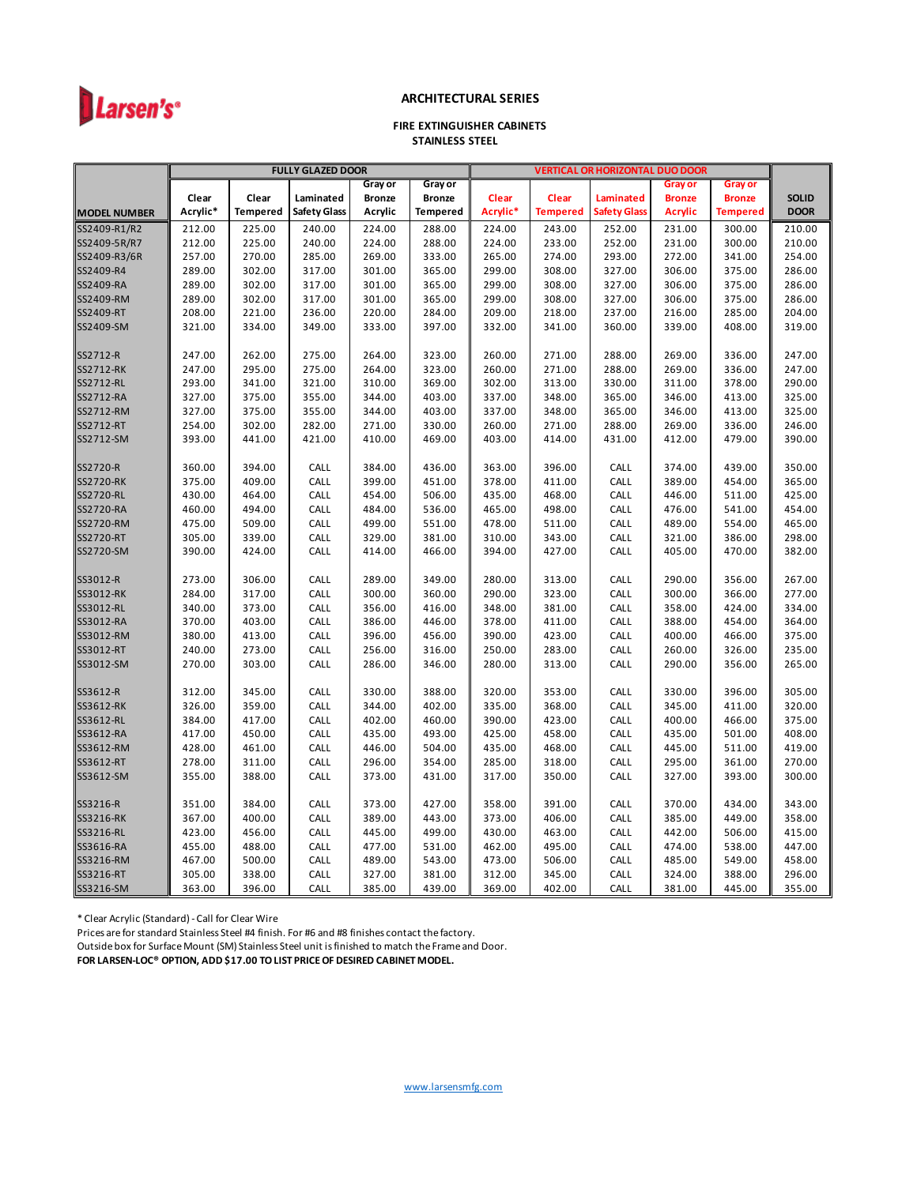

# **ARCHITECTURAL SERIES**

#### **STAINLESS STEEL FIRE EXTINGUISHER CABINETS**

|                     |          |                 | <b>FULLY GLAZED DOOR</b> |               |                 | <b>VERTICAL OR HORIZONTAL DUO DOOR</b> |                 |                     |                |                 |              |
|---------------------|----------|-----------------|--------------------------|---------------|-----------------|----------------------------------------|-----------------|---------------------|----------------|-----------------|--------------|
|                     |          |                 |                          | Gray or       | Gray or         |                                        |                 |                     | <b>Gray or</b> | Gray or         |              |
|                     | Clear    | Clear           | Laminated                | <b>Bronze</b> | <b>Bronze</b>   | Clear                                  | Clear           | Laminated           | <b>Bronze</b>  | <b>Bronze</b>   | <b>SOLID</b> |
| <b>MODEL NUMBER</b> | Acrylic* | <b>Tempered</b> | <b>Safety Glass</b>      | Acrylic       | <b>Tempered</b> | Acrylic*                               | <b>Tempered</b> | <b>Safety Glass</b> | <b>Acrylic</b> | <b>Tempered</b> | <b>DOOR</b>  |
| SS2409-R1/R2        | 212.00   | 225.00          | 240.00                   | 224.00        | 288.00          | 224.00                                 | 243.00          | 252.00              | 231.00         | 300.00          | 210.00       |
| SS2409-5R/R7        | 212.00   | 225.00          | 240.00                   | 224.00        | 288.00          | 224.00                                 | 233.00          | 252.00              | 231.00         | 300.00          | 210.00       |
| SS2409-R3/6R        | 257.00   | 270.00          | 285.00                   | 269.00        | 333.00          | 265.00                                 | 274.00          | 293.00              | 272.00         | 341.00          | 254.00       |
| SS2409-R4           | 289.00   | 302.00          | 317.00                   | 301.00        | 365.00          | 299.00                                 | 308.00          | 327.00              | 306.00         | 375.00          | 286.00       |
| SS2409-RA           | 289.00   | 302.00          | 317.00                   | 301.00        | 365.00          | 299.00                                 | 308.00          | 327.00              | 306.00         | 375.00          | 286.00       |
| SS2409-RM           | 289.00   | 302.00          | 317.00                   | 301.00        | 365.00          | 299.00                                 | 308.00          | 327.00              | 306.00         | 375.00          | 286.00       |
| SS2409-RT           | 208.00   | 221.00          | 236.00                   | 220.00        | 284.00          | 209.00                                 | 218.00          | 237.00              | 216.00         | 285.00          | 204.00       |
| SS2409-SM           | 321.00   | 334.00          | 349.00                   | 333.00        | 397.00          | 332.00                                 | 341.00          | 360.00              | 339.00         | 408.00          | 319.00       |
|                     |          |                 |                          |               |                 |                                        |                 |                     |                |                 |              |
| SS2712-R            | 247.00   | 262.00          | 275.00                   | 264.00        | 323.00          | 260.00                                 | 271.00          | 288.00              | 269.00         | 336.00          | 247.00       |
| SS2712-RK           | 247.00   | 295.00          | 275.00                   | 264.00        | 323.00          | 260.00                                 | 271.00          | 288.00              | 269.00         | 336.00          | 247.00       |
| SS2712-RL           | 293.00   | 341.00          | 321.00                   | 310.00        | 369.00          | 302.00                                 | 313.00          | 330.00              | 311.00         | 378.00          | 290.00       |
| SS2712-RA           | 327.00   | 375.00          | 355.00                   | 344.00        | 403.00          | 337.00                                 | 348.00          | 365.00              | 346.00         | 413.00          | 325.00       |
| SS2712-RM           | 327.00   | 375.00          | 355.00                   | 344.00        | 403.00          | 337.00                                 | 348.00          | 365.00              | 346.00         | 413.00          | 325.00       |
| SS2712-RT           | 254.00   | 302.00          | 282.00                   | 271.00        | 330.00          | 260.00                                 | 271.00          | 288.00              | 269.00         | 336.00          | 246.00       |
| SS2712-SM           | 393.00   | 441.00          | 421.00                   | 410.00        | 469.00          | 403.00                                 | 414.00          | 431.00              | 412.00         | 479.00          | 390.00       |
|                     |          |                 |                          |               |                 |                                        |                 |                     |                |                 |              |
| SS2720-R            | 360.00   | 394.00          | CALL                     | 384.00        | 436.00          | 363.00                                 | 396.00          | CALL                | 374.00         | 439.00          | 350.00       |
| <b>SS2720-RK</b>    | 375.00   | 409.00          | CALL                     | 399.00        | 451.00          | 378.00                                 | 411.00          | CALL                | 389.00         | 454.00          | 365.00       |
| SS2720-RL           | 430.00   | 464.00          | CALL                     | 454.00        | 506.00          | 435.00                                 | 468.00          | CALL                | 446.00         | 511.00          | 425.00       |
| SS2720-RA           | 460.00   | 494.00          | CALL                     | 484.00        | 536.00          | 465.00                                 | 498.00          | CALL                | 476.00         | 541.00          | 454.00       |
| SS2720-RM           | 475.00   | 509.00          | CALL                     | 499.00        | 551.00          | 478.00                                 | 511.00          | CALL                | 489.00         | 554.00          | 465.00       |
| SS2720-RT           | 305.00   | 339.00          | CALL                     | 329.00        | 381.00          | 310.00                                 | 343.00          | CALL                | 321.00         | 386.00          | 298.00       |
| SS2720-SM           | 390.00   | 424.00          | CALL                     | 414.00        | 466.00          | 394.00                                 | 427.00          | CALL                | 405.00         | 470.00          | 382.00       |
|                     |          |                 |                          |               |                 |                                        |                 |                     |                |                 |              |
| SS3012-R            | 273.00   | 306.00          | CALL                     | 289.00        | 349.00          | 280.00                                 | 313.00          | CALL                | 290.00         | 356.00          | 267.00       |
| SS3012-RK           | 284.00   | 317.00          | CALL                     | 300.00        | 360.00          | 290.00                                 | 323.00          | CALL                | 300.00         | 366.00          | 277.00       |
| SS3012-RL           | 340.00   | 373.00          | CALL                     | 356.00        | 416.00          | 348.00                                 | 381.00          | CALL                | 358.00         | 424.00          | 334.00       |
| SS3012-RA           | 370.00   | 403.00          | CALL                     | 386.00        | 446.00          | 378.00                                 | 411.00          | CALL                | 388.00         | 454.00          | 364.00       |
| SS3012-RM           | 380.00   | 413.00          | CALL                     | 396.00        | 456.00          | 390.00                                 | 423.00          | CALL                | 400.00         | 466.00          | 375.00       |
| SS3012-RT           | 240.00   | 273.00          | CALL                     | 256.00        | 316.00          | 250.00                                 | 283.00          | CALL                | 260.00         | 326.00          | 235.00       |
| SS3012-SM           | 270.00   | 303.00          | CALL                     | 286.00        | 346.00          | 280.00                                 | 313.00          | CALL                | 290.00         | 356.00          | 265.00       |
|                     |          |                 |                          |               |                 |                                        |                 |                     |                |                 |              |
| SS3612-R            | 312.00   | 345.00          | CALL                     | 330.00        | 388.00          | 320.00                                 | 353.00          | CALL                | 330.00         | 396.00          | 305.00       |
| SS3612-RK           | 326.00   | 359.00          | CALL                     | 344.00        | 402.00          | 335.00                                 | 368.00          | CALL                | 345.00         | 411.00          | 320.00       |
| SS3612-RL           | 384.00   | 417.00          | CALL                     | 402.00        | 460.00          | 390.00                                 | 423.00          | CALL                | 400.00         | 466.00          | 375.00       |
| SS3612-RA           | 417.00   | 450.00          | CALL                     | 435.00        | 493.00          | 425.00                                 | 458.00          | CALL                | 435.00         | 501.00          | 408.00       |
| SS3612-RM           | 428.00   | 461.00          | CALL                     | 446.00        | 504.00          | 435.00                                 | 468.00          | CALL                | 445.00         | 511.00          | 419.00       |
| SS3612-RT           | 278.00   | 311.00          | CALL                     | 296.00        | 354.00          | 285.00                                 | 318.00          | CALL                | 295.00         | 361.00          | 270.00       |
| SS3612-SM           | 355.00   | 388.00          | CALL                     | 373.00        | 431.00          | 317.00                                 | 350.00          | CALL                | 327.00         | 393.00          | 300.00       |
|                     |          |                 |                          |               |                 |                                        |                 |                     |                |                 |              |
| SS3216-R            | 351.00   | 384.00          | CALL                     | 373.00        | 427.00          | 358.00                                 | 391.00          | CALL                | 370.00         | 434.00          | 343.00       |
| SS3216-RK           | 367.00   | 400.00          | CALL                     | 389.00        | 443.00          | 373.00                                 | 406.00          | CALL                | 385.00         | 449.00          | 358.00       |
| SS3216-RL           | 423.00   | 456.00          | CALL                     | 445.00        | 499.00          | 430.00                                 | 463.00          | CALL                | 442.00         | 506.00          | 415.00       |
| SS3616-RA           | 455.00   | 488.00          | CALL                     | 477.00        | 531.00          | 462.00                                 | 495.00          | CALL                | 474.00         | 538.00          | 447.00       |
| SS3216-RM           | 467.00   | 500.00          | CALL                     | 489.00        | 543.00          | 473.00                                 | 506.00          | CALL                | 485.00         | 549.00          | 458.00       |
| SS3216-RT           | 305.00   | 338.00          | CALL                     | 327.00        | 381.00          | 312.00                                 | 345.00          | CALL                | 324.00         | 388.00          | 296.00       |
| SS3216-SM           | 363.00   | 396.00          | CALL                     | 385.00        | 439.00          | 369.00                                 | 402.00          | CALL                | 381.00         | 445.00          | 355.00       |

\* Clear Acrylic (Standard) - Call for Clear Wire

Prices are for standard Stainless Steel #4 finish. For #6 and #8 finishes contact the factory.

Outside box for Surface Mount (SM) Stainless Steel unit is finished to match the Frame and Door.

**FOR LARSEN-LOC® OPTION, ADD \$17.00 TO LIST PRICE OF DESIRED CABINET MODEL.**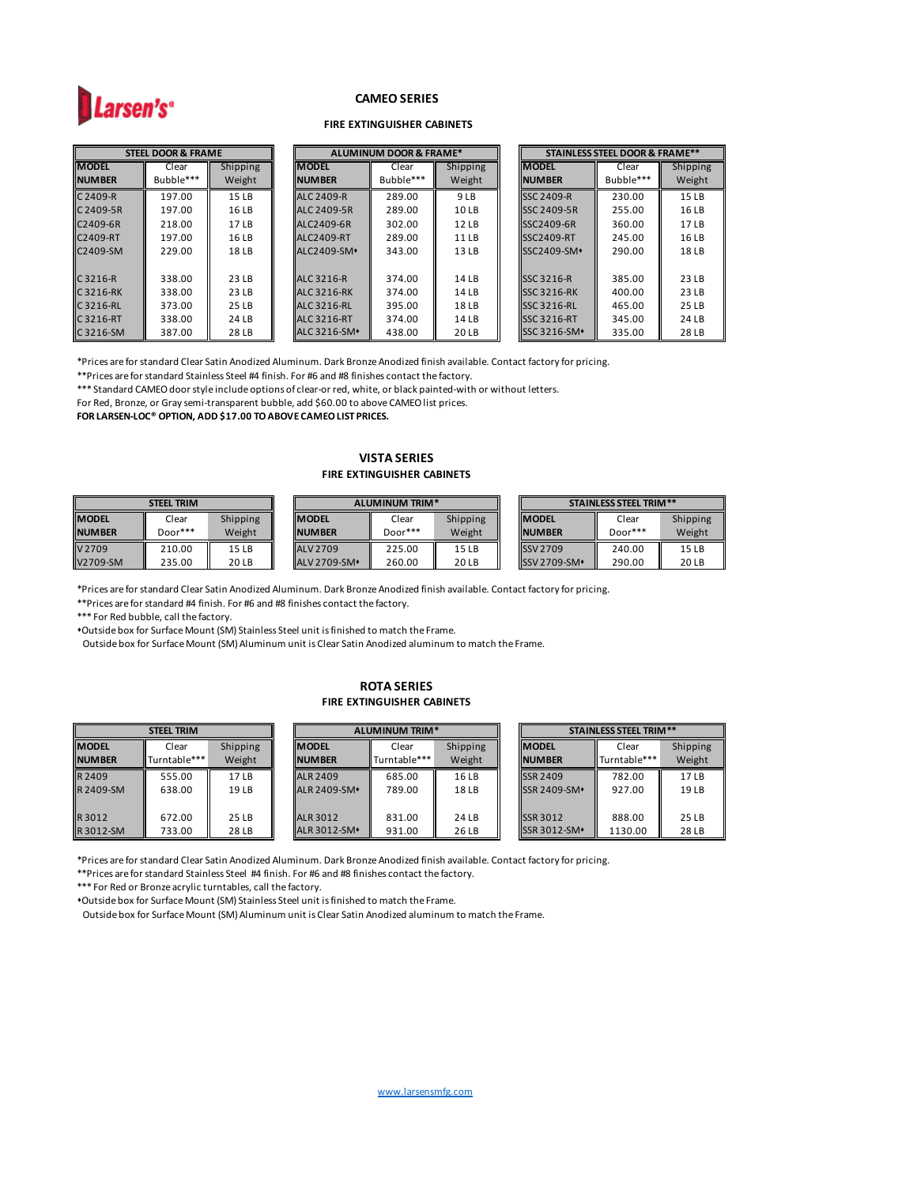

# **CAMEO SERIES**

#### **FIRE EXTINGUISHER CABINETS**

|               | <b>STEEL DOOR &amp; FRAME</b> |                 |                          | <b>ALUMINUM DOOR &amp; FRAME*</b> |                  | STAINLESS STEEL DOOR & FRAME** |           |          |  |  |
|---------------|-------------------------------|-----------------|--------------------------|-----------------------------------|------------------|--------------------------------|-----------|----------|--|--|
| <b>MODEL</b>  | Clear                         | <b>Shipping</b> | <b>MODEL</b>             | Clear                             | <b>Shipping</b>  | <b>MODEL</b>                   | Clear     | Shipping |  |  |
| <b>NUMBER</b> | Bubble***                     | Weight          | <b>NUMBER</b>            | Bubble***                         | Weight           | <b>NUMBER</b>                  | Bubble*** | Weight   |  |  |
| $C.2409 - R$  | 197.00                        | 15 LB           | <b>ALC 2409-R</b>        | 289.00                            | 9 LB             | <b>SSC 2409-R</b>              | 230.00    | 15LB     |  |  |
| $C$ 2409-5R   | 197.00                        | 16 LB           | ALC 2409-5R              | 289.00                            | 10 <sub>LB</sub> | SSC 2409-5R                    | 255.00    | 16 LB    |  |  |
| C2409-6R      | 218.00                        | 17 LB           | ALC2409-6R               | 302.00                            | 12 LB            | SSC2409-6R                     | 360.00    | 17 LB    |  |  |
| C2409-RT      | 197.00                        | 16 LB           | ALC2409-RT               | 289.00                            | 11 LB            | <b>SSC2409-RT</b>              | 245.00    | 16 LB    |  |  |
| C2409-SM      | 229.00                        | 18 LB           | ALC2409-SM <sup>+</sup>  | 343.00                            | 13 LB            | SSC2409-SM*                    | 290.00    | 18 LB    |  |  |
|               |                               |                 |                          |                                   |                  |                                |           |          |  |  |
| $C.3216-R$    | 338.00                        | 23 LB           | ALC 3216-R               | 374.00                            | 14 LB            | SSC 3216-R                     | 385.00    | 23 LB    |  |  |
| $C.3216-RK$   | 338.00                        | 23 LB           | ALC 3216-RK              | 374.00                            | 14 LB            | <b>SSC 3216-RK</b>             | 400.00    | 23 LB    |  |  |
| C 3216-RL     | 373.00                        | 25 LB           | ALC 3216-RL              | 395.00                            | 18 LB            | <b>SSC 3216-RL</b>             | 465.00    | 25 LB    |  |  |
| C 3216-RT     | 338.00                        | 24 LB           | <b>ALC 3216-RT</b>       | 374.00                            | 14 LB            | <b>SSC 3216-RT</b>             | 345.00    | 24 LB    |  |  |
| C3216-SM      | 387.00                        | 28 LB           | ALC 3216-SM <sup>*</sup> | 438.00                            | 20 LB            | SSC 3216-SM*                   | 335.00    | 28 LB    |  |  |

\*Prices are for standard Clear Satin Anodized Aluminum. Dark Bronze Anodized finish available. Contact factory for pricing.

\*\*Prices are for standard Stainless Steel #4 finish. For #6 and #8 finishes contact the factory.

\*\*\* Standard CAMEO door style include options of clear-or red, white, or black painted-with or without letters.

For Red, Bronze, or Gray semi-transparent bubble, add \$60.00 to above CAMEO list prices.

**FOR LARSEN-LOC® OPTION, ADD \$17.00 TO ABOVE CAMEO LIST PRICES.**

#### **VISTA SERIES FIRE EXTINGUISHER CABINETS**

| <b>STEEL TRIM</b> |           |          |                          | <b>ALUMINUM TRIM*</b> |          |  |                 | STAINLESS STEEL TRIM** |          |  |  |
|-------------------|-----------|----------|--------------------------|-----------------------|----------|--|-----------------|------------------------|----------|--|--|
| <b>MODEL</b>      | Clear     | Shipping | <b>MODEL</b>             | Clear                 | Shipping |  | <b>IMODEL</b>   | Clear                  | Shipping |  |  |
| <b>NUMBER</b>     | $D00r***$ | Weight   | <b>NUMBER</b>            | $Don***$              | Weight   |  | <b>NUMBER</b>   | Door***                | Weight   |  |  |
| V 2709            | 210.00    | 15 LB    | ALV 2709                 | 225.00                | 15 LB    |  | <b>SSV 2709</b> | 240.00                 | 15 LB    |  |  |
| V2709-SM          | 235.00    | 20 LB    | ALV 2709-SM <sup>*</sup> | 260.00                | 20 LB    |  | SSV 2709-SM*    | 290.00                 | 20LB     |  |  |

\*Prices are for standard Clear Satin Anodized Aluminum. Dark Bronze Anodized finish available. Contact factory for pricing.

\*\*Prices are for standard #4 finish. For #6 and #8 finishes contact the factory.

\*\*\* For Red bubble, call the factory.

\*Outside box for Surface Mount (SM) Stainless Steel unit is finished to match the Frame.

Outside box for Surface Mount (SM) Aluminum unit is Clear Satin Anodized aluminum to match the Frame.

#### **ROTA SERIES FIRE EXTINGUISHER CABINETS**

|               | <b>STEEL TRIM</b> |          |                          | <b>ALUMINUM TRIM*</b> |          | <b>STAINLESS STEEL TRIM**</b> |              |          |  |  |
|---------------|-------------------|----------|--------------------------|-----------------------|----------|-------------------------------|--------------|----------|--|--|
| <b>MODEL</b>  | Clear             | Shipping | <b>IMODEL</b>            | Clear                 | Shipping | <b>MODEL</b>                  | Clear        | Shipping |  |  |
| <b>NUMBER</b> | Turntable***      | Weight   | <b>NUMBER</b>            | Turntable***          | Weight   | <b>NUMBER</b>                 | Turntable*** | Weight   |  |  |
| R 2409        | 555.00            | 17 LB    | <b>ALR 2409</b>          | 685.00                | 16 LB    | <b>SSR 2409</b>               | 782.00       | 17 LB    |  |  |
| R 2409-SM     | 638.00            | 19 LB    | ALR 2409-SM <sup>+</sup> | 789.00                | 18 LB    | SSR 2409-SM*                  | 927.00       | 19 LB    |  |  |
|               |                   |          |                          |                       |          |                               |              |          |  |  |
| R 3012        | 672.00            | 25 LB    | <b>ALR 3012</b>          | 831.00                | 24 LB    | <b>SSR 3012</b>               | 888.00       | 25 LB    |  |  |
| R 3012-SM     | 733.00            | 28 LB    | ALR 3012-SM <sup>+</sup> | 931.00                | 26 LB    | SSR 3012-SM*                  | 1130.00      | 28 LB    |  |  |

\*Prices are for standard Clear Satin Anodized Aluminum. Dark Bronze Anodized finish available. Contact factory for pricing.

\*\*Prices are for standard Stainless Steel #4 finish. For #6 and #8 finishes contact the factory.

\*\*\* For Red or Bronze acrylic turntables, call the factory.

\*Outside box for Surface Mount (SM) Stainless Steel unit is finished to match the Frame.

Outside box for Surface Mount (SM) Aluminum unit is Clear Satin Anodized aluminum to match the Frame.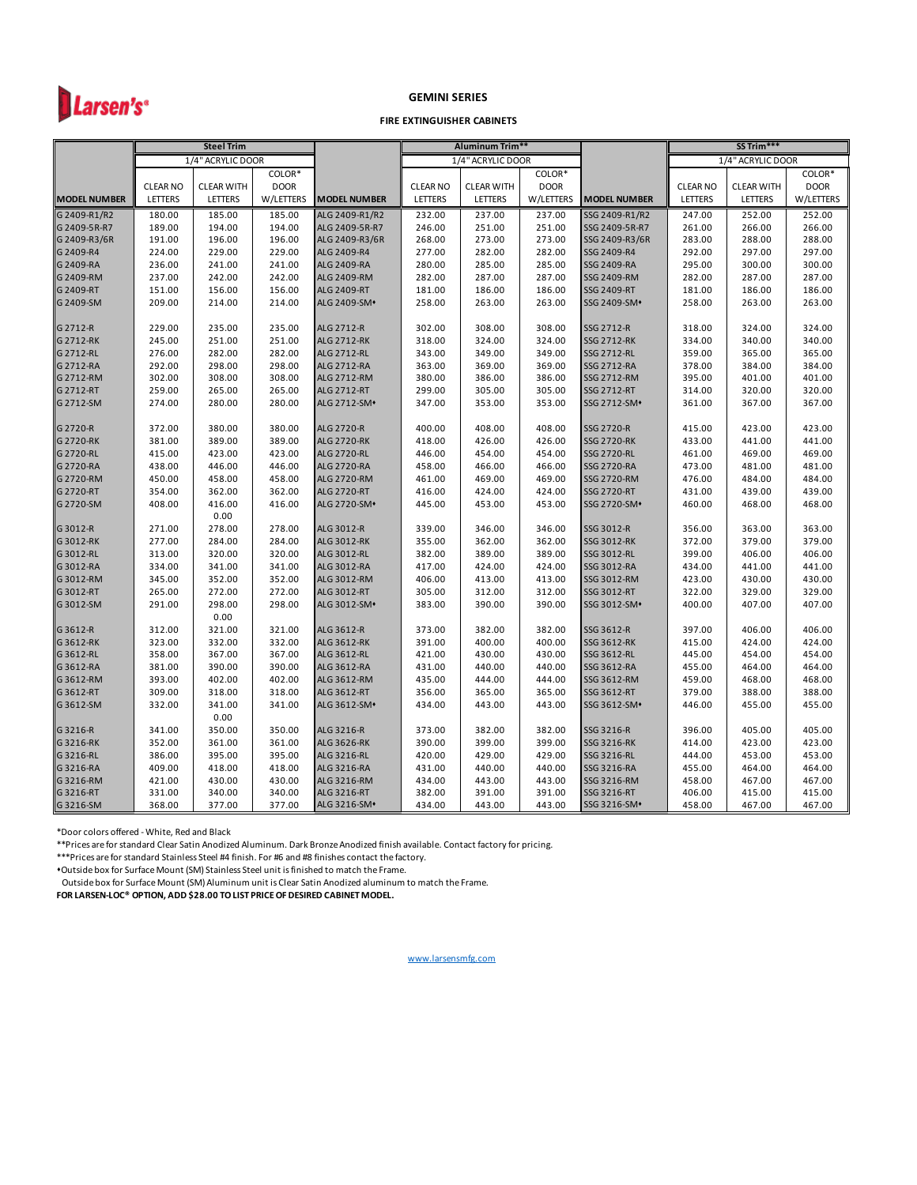

## **GEMINI SERIES**

#### **FIRE EXTINGUISHER CABINETS**

|                     |                 | <b>Steel Trim</b> |             |                     |                 | Aluminum Trim**   |             |                     | SS Trim***      |                   |             |
|---------------------|-----------------|-------------------|-------------|---------------------|-----------------|-------------------|-------------|---------------------|-----------------|-------------------|-------------|
|                     |                 | 1/4" ACRYLIC DOOR |             |                     |                 | 1/4" ACRYLIC DOOR |             |                     |                 | 1/4" ACRYLIC DOOR |             |
|                     |                 |                   | COLOR*      |                     |                 |                   | COLOR*      |                     |                 |                   | COLOR*      |
|                     | <b>CLEAR NO</b> | <b>CLEAR WITH</b> | <b>DOOR</b> |                     | <b>CLEAR NO</b> | <b>CLEAR WITH</b> | <b>DOOR</b> |                     | <b>CLEAR NO</b> | <b>CLEAR WITH</b> | <b>DOOR</b> |
| <b>MODEL NUMBER</b> | LETTERS         | LETTERS           | W/LETTERS   | <b>MODEL NUMBER</b> | LETTERS         | LETTERS           | W/LETTERS   | <b>MODEL NUMBER</b> | LETTERS         | LETTERS           | W/LETTERS   |
| G 2409-R1/R2        | 180.00          | 185.00            | 185.00      | ALG 2409-R1/R2      | 232.00          | 237.00            | 237.00      | SSG 2409-R1/R2      | 247.00          | 252.00            | 252.00      |
| G 2409-5R-R7        | 189.00          | 194.00            | 194.00      | ALG 2409-5R-R7      | 246.00          | 251.00            | 251.00      | SSG 2409-5R-R7      | 261.00          | 266.00            | 266.00      |
| G 2409-R3/6R        | 191.00          | 196.00            | 196.00      | ALG 2409-R3/6R      | 268.00          | 273.00            | 273.00      | SSG 2409-R3/6R      | 283.00          | 288.00            | 288.00      |
| G 2409-R4           | 224.00          | 229.00            | 229.00      | ALG 2409-R4         | 277.00          | 282.00            | 282.00      | SSG 2409-R4         | 292.00          | 297.00            | 297.00      |
| G 2409-RA           | 236.00          | 241.00            | 241.00      | ALG 2409-RA         | 280.00          | 285.00            | 285.00      | SSG 2409-RA         | 295.00          | 300.00            | 300.00      |
| G 2409-RM           | 237.00          | 242.00            | 242.00      | ALG 2409-RM         | 282.00          | 287.00            | 287.00      | SSG 2409-RM         | 282.00          | 287.00            | 287.00      |
| G 2409-RT           | 151.00          | 156.00            | 156.00      | <b>ALG 2409-RT</b>  | 181.00          | 186.00            | 186.00      | <b>SSG 2409-RT</b>  | 181.00          | 186.00            | 186.00      |
| G 2409-SM           | 209.00          | 214.00            | 214.00      | ALG 2409-SM*        | 258.00          | 263.00            | 263.00      | SSG 2409-SM*        | 258.00          | 263.00            | 263.00      |
|                     |                 |                   |             |                     |                 |                   |             |                     |                 |                   |             |
| G 2712-R            | 229.00          | 235.00            | 235.00      | ALG 2712-R          | 302.00          | 308.00            | 308.00      | SSG 2712-R          | 318.00          | 324.00            | 324.00      |
| G 2712-RK           | 245.00          | 251.00            | 251.00      | <b>ALG 2712-RK</b>  | 318.00          | 324.00            | 324.00      | <b>SSG 2712-RK</b>  | 334.00          | 340.00            | 340.00      |
| G 2712-RL           | 276.00          | 282.00            | 282.00      | ALG 2712-RL         | 343.00          | 349.00            | 349.00      | SSG 2712-RL         | 359.00          | 365.00            | 365.00      |
| G 2712-RA           | 292.00          | 298.00            | 298.00      | ALG 2712-RA         | 363.00          | 369.00            | 369.00      | SSG 2712-RA         | 378.00          | 384.00            | 384.00      |
| G 2712-RM           | 302.00          | 308.00            | 308.00      | ALG 2712-RM         | 380.00          | 386.00            | 386.00      | SSG 2712-RM         | 395.00          | 401.00            | 401.00      |
| G 2712-RT           | 259.00          | 265.00            | 265.00      | ALG 2712-RT         | 299.00          | 305.00            | 305.00      | SSG 2712-RT         | 314.00          | 320.00            | 320.00      |
| G 2712-SM           | 274.00          | 280.00            | 280.00      | ALG 2712-SM*        | 347.00          | 353.00            | 353.00      | SSG 2712-SM*        | 361.00          | 367.00            | 367.00      |
|                     |                 |                   |             |                     |                 |                   |             |                     |                 |                   |             |
| G 2720-R            | 372.00          | 380.00            | 380.00      | ALG 2720-R          | 400.00          | 408.00            | 408.00      | SSG 2720-R          | 415.00          | 423.00            | 423.00      |
| G 2720-RK           | 381.00          | 389.00            | 389.00      | <b>ALG 2720-RK</b>  | 418.00          | 426.00            | 426.00      | <b>SSG 2720-RK</b>  | 433.00          | 441.00            | 441.00      |
| G 2720-RL           | 415.00          | 423.00            | 423.00      | <b>ALG 2720-RL</b>  | 446.00          | 454.00            | 454.00      | <b>SSG 2720-RL</b>  | 461.00          | 469.00            | 469.00      |
| G 2720-RA           | 438.00          | 446.00            | 446.00      | <b>ALG 2720-RA</b>  | 458.00          | 466.00            | 466.00      | <b>SSG 2720-RA</b>  | 473.00          | 481.00            | 481.00      |
| G 2720-RM           | 450.00          | 458.00            | 458.00      | ALG 2720-RM         | 461.00          | 469.00            | 469.00      | SSG 2720-RM         | 476.00          | 484.00            | 484.00      |
| G 2720-RT           | 354.00          | 362.00            | 362.00      | <b>ALG 2720-RT</b>  | 416.00          | 424.00            | 424.00      | <b>SSG 2720-RT</b>  | 431.00          | 439.00            | 439.00      |
| G 2720-SM           | 408.00          | 416.00            | 416.00      | ALG 2720-SM*        | 445.00          | 453.00            | 453.00      | SSG 2720-SM*        | 460.00          | 468.00            | 468.00      |
|                     |                 | 0.00              |             |                     |                 |                   |             |                     |                 |                   |             |
| G 3012-R            | 271.00          | 278.00            | 278.00      | ALG 3012-R          | 339.00          | 346.00            | 346.00      | SSG 3012-R          | 356.00          | 363.00            | 363.00      |
| G 3012-RK           | 277.00          | 284.00            | 284.00      | ALG 3012-RK         | 355.00          | 362.00            | 362.00      | SSG 3012-RK         | 372.00          | 379.00            | 379.00      |
| G 3012-RL           | 313.00          | 320.00            | 320.00      | ALG 3012-RL         | 382.00          | 389.00            | 389.00      | SSG 3012-RL         | 399.00          | 406.00            | 406.00      |
| G 3012-RA           | 334.00          | 341.00            | 341.00      | ALG 3012-RA         | 417.00          | 424.00            | 424.00      | <b>SSG 3012-RA</b>  | 434.00          | 441.00            | 441.00      |
| G 3012-RM           | 345.00          | 352.00            | 352.00      | ALG 3012-RM         | 406.00          | 413.00            | 413.00      | SSG 3012-RM         | 423.00          | 430.00            | 430.00      |
| G 3012-RT           | 265.00          | 272.00            | 272.00      | ALG 3012-RT         | 305.00          | 312.00            | 312.00      | SSG 3012-RT         | 322.00          | 329.00            | 329.00      |
| G 3012-SM           | 291.00          | 298.00            | 298.00      | ALG 3012-SM*        | 383.00          | 390.00            | 390.00      | SSG 3012-SM*        | 400.00          | 407.00            | 407.00      |
|                     |                 | 0.00              |             |                     |                 |                   |             |                     |                 |                   |             |
| G 3612-R            | 312.00          | 321.00            | 321.00      | ALG 3612-R          | 373.00          | 382.00            | 382.00      | SSG 3612-R          | 397.00          | 406.00            | 406.00      |
| G 3612-RK           | 323.00          | 332.00            | 332.00      | ALG 3612-RK         | 391.00          | 400.00            | 400.00      | SSG 3612-RK         | 415.00          | 424.00            | 424.00      |
| G 3612-RL           | 358.00          | 367.00            | 367.00      | ALG 3612-RL         | 421.00          | 430.00            | 430.00      | SSG 3612-RL         | 445.00          | 454.00            | 454.00      |
| G 3612-RA           | 381.00          | 390.00            | 390.00      | ALG 3612-RA         | 431.00          | 440.00            | 440.00      | SSG 3612-RA         | 455.00          | 464.00            | 464.00      |
| G 3612-RM           | 393.00          | 402.00            | 402.00      | ALG 3612-RM         | 435.00          | 444.00            | 444.00      | SSG 3612-RM         | 459.00          | 468.00            | 468.00      |
| G 3612-RT           | 309.00          | 318.00            | 318.00      | ALG 3612-RT         | 356.00          | 365.00            | 365.00      | SSG 3612-RT         | 379.00          | 388.00            | 388.00      |
| G 3612-SM           | 332.00          | 341.00            | 341.00      | ALG 3612-SM*        | 434.00          | 443.00            | 443.00      | SSG 3612-SM*        | 446.00          | 455.00            | 455.00      |
|                     |                 | 0.00              |             |                     |                 |                   |             |                     |                 |                   |             |
| G 3216-R            | 341.00          | 350.00            | 350.00      | ALG 3216-R          | 373.00          | 382.00            | 382.00      | SSG 3216-R          | 396.00          | 405.00            | 405.00      |
| G 3216-RK           | 352.00          | 361.00            | 361.00      | ALG 3626-RK         | 390.00          | 399.00            | 399.00      | <b>SSG 3216-RK</b>  | 414.00          | 423.00            | 423.00      |
| G 3216-RL           | 386.00          | 395.00            | 395.00      | ALG 3216-RL         | 420.00          | 429.00            | 429.00      | SSG 3216-RL         | 444.00          | 453.00            | 453.00      |
| G 3216-RA           | 409.00          | 418.00            | 418.00      | ALG 3216-RA         | 431.00          | 440.00            | 440.00      | SSG 3216-RA         | 455.00          | 464.00            | 464.00      |
| G 3216-RM           | 421.00          | 430.00            | 430.00      | ALG 3216-RM         | 434.00          | 443.00            | 443.00      | SSG 3216-RM         | 458.00          | 467.00            | 467.00      |
| G 3216-RT           | 331.00          | 340.00            | 340.00      | ALG 3216-RT         | 382.00          | 391.00            | 391.00      | <b>SSG 3216-RT</b>  | 406.00          | 415.00            | 415.00      |
| G3216-SM            | 368.00          | 377.00            | 377.00      | ALG 3216-SM*        | 434.00          | 443.00            | 443.00      | SSG 3216-SM*        | 458.00          | 467.00            | 467.00      |

\*Door colors offered - White, Red and Black

\*\*Prices are for standard Clear Satin Anodized Aluminum. Dark Bronze Anodized finish available. Contact factory for pricing.

\*\*\*Prices are for standard Stainless Steel #4 finish. For #6 and #8 finishes contact the factory.

\*Outside box for Surface Mount (SM) Stainless Steel unit is finished to match the Frame.

Outside box for Surface Mount (SM) Aluminum unit is Clear Satin Anodized aluminum to match the Frame.

**FOR LARSEN-LOC® OPTION, ADD \$28.00 TO LIST PRICE OF DESIRED CABINET MODEL.**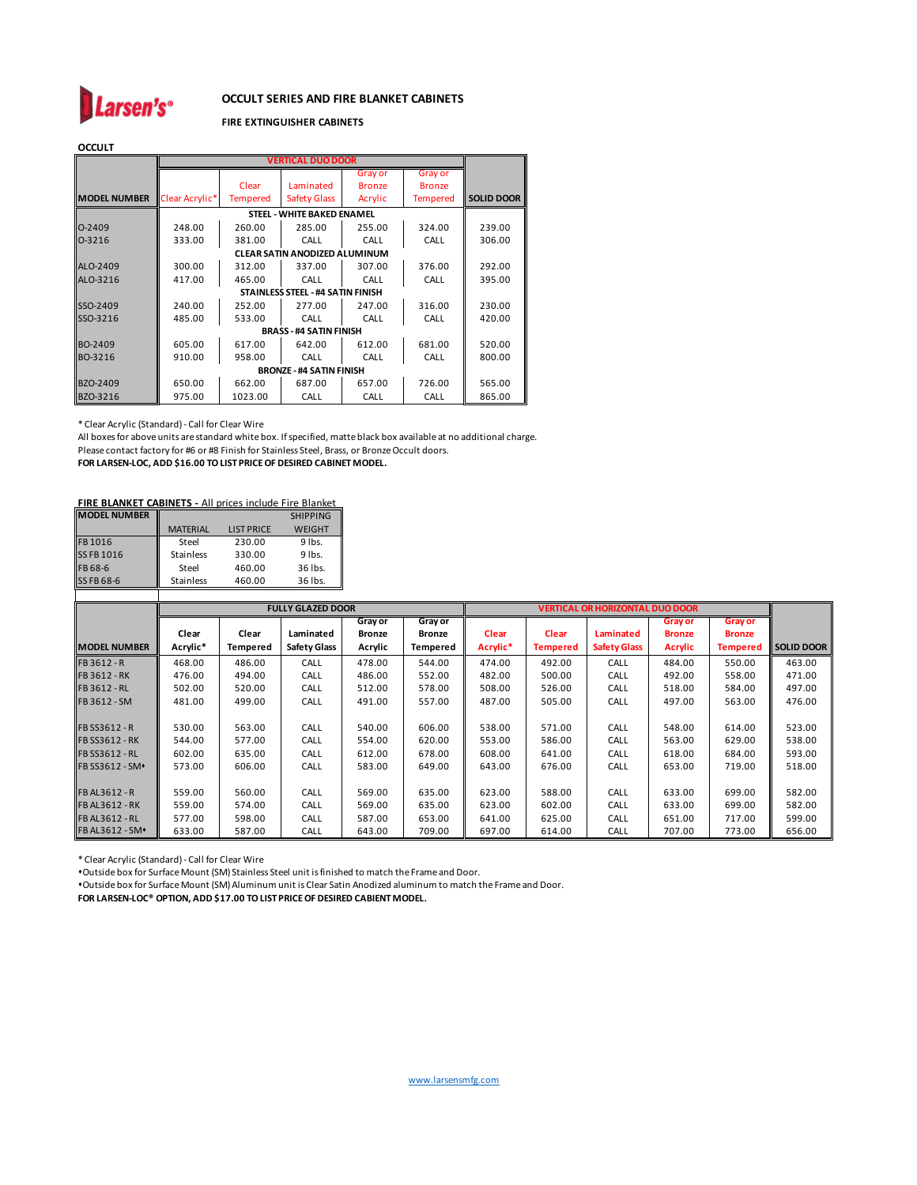

# **OCCULT SERIES AND FIRE BLANKET CABINETS**

# **FIRE EXTINGUISHER CABINETS**

## **OCCULT**

|                     |                | <b>VERTICAL DUO DOOR</b> |                                          |               |                 |                   |  |  |  |  |  |  |
|---------------------|----------------|--------------------------|------------------------------------------|---------------|-----------------|-------------------|--|--|--|--|--|--|
|                     |                |                          |                                          | Gray or       | <b>Gray or</b>  |                   |  |  |  |  |  |  |
|                     |                | Clear                    | Laminated                                | <b>Bronze</b> | <b>Bronze</b>   |                   |  |  |  |  |  |  |
| <b>MODEL NUMBER</b> | Clear Acrylic* | <b>Tempered</b>          | Safety Glass                             | Acrylic       | <b>Tempered</b> | <b>SOLID DOOR</b> |  |  |  |  |  |  |
|                     |                |                          | <b>STEEL - WHITE BAKED ENAMEL</b>        |               |                 |                   |  |  |  |  |  |  |
| O-2409              | 248.00         | 260.00                   | 285.00                                   | 255.00        | 324.00          | 239.00            |  |  |  |  |  |  |
| 0-3216              | 333.00         | 381.00                   | CALL                                     | CALL          | CALL            | 306.00            |  |  |  |  |  |  |
|                     |                |                          | <b>CLEAR SATIN ANODIZED ALUMINUM</b>     |               |                 |                   |  |  |  |  |  |  |
| ALO-2409            | 300.00         | 312.00                   | 337.00                                   | 307.00        | 376.00          | 292.00            |  |  |  |  |  |  |
| ALO-3216            | 417.00         | 465.00                   | CALL                                     | CALL          | CALL            | 395.00            |  |  |  |  |  |  |
|                     |                |                          | <b>STAINLESS STEEL - #4 SATIN FINISH</b> |               |                 |                   |  |  |  |  |  |  |
| SSO-2409            | 240.00         | 252.00                   | 277.00                                   | 247.00        | 316.00          | 230.00            |  |  |  |  |  |  |
| SSO-3216            | 485.00         | 533.00                   | CALL                                     | CALL          | CALL            | 420.00            |  |  |  |  |  |  |
|                     |                |                          | <b>BRASS - #4 SATIN FINISH</b>           |               |                 |                   |  |  |  |  |  |  |
| BO-2409             | 605.00         | 617.00                   | 642.00                                   | 612.00        | 681.00          | 520.00            |  |  |  |  |  |  |
| BO-3216             | 910.00         | 958.00                   | CALL                                     | CALL          | CALL            | 800.00            |  |  |  |  |  |  |
|                     |                |                          | <b>BRONZE - #4 SATIN FINISH</b>          |               |                 |                   |  |  |  |  |  |  |
| BZO-2409            | 650.00         | 662.00                   | 687.00                                   | 657.00        | 726.00          | 565.00            |  |  |  |  |  |  |
| BZO-3216            | 975.00         | 1023.00                  | CALL                                     | CALL          | CALL            | 865.00            |  |  |  |  |  |  |

\* Clear Acrylic (Standard) - Call for Clear Wire

All boxes for above units are standard white box. If specified, matte black box available at no additional charge. Please contact factory for #6 or #8 Finish for Stainless Steel, Brass, or Bronze Occult doors.

**FOR LARSEN-LOC, ADD \$16.00 TO LIST PRICE OF DESIRED CABINET MODEL.**

# **FIRE BLANKET CABINETS -** All prices include Fire Blanket

| <b>MODEL NUMBER</b> |                 |                   | <b>SHIPPING</b> |
|---------------------|-----------------|-------------------|-----------------|
|                     | <b>MATERIAL</b> | <b>LIST PRICE</b> | <b>WEIGHT</b>   |
| FB 1016             | Steel           | 230.00            | $9$ lbs.        |
| <b>SS FB 1016</b>   | Stainless       | 330.00            | $9$ lbs.        |
| FB 68-6             | Steel           | 460.00            | 36 lbs.         |
| <b>SSFB68-6</b>     | Stainless       | 460.00            | 36 lbs.         |
|                     |                 |                   |                 |

|                       |          |                 | <b>FULLY GLAZED DOOR</b> |               |               |          |                 | <b>VERTICAL OR HORIZONTAL DUO DOOR</b> |                |                 |                   |
|-----------------------|----------|-----------------|--------------------------|---------------|---------------|----------|-----------------|----------------------------------------|----------------|-----------------|-------------------|
|                       |          |                 |                          | Gray or       | Gray or       |          |                 |                                        | Gray or        | <b>Gray or</b>  |                   |
|                       | Clear    | Clear           | Laminated                | <b>Bronze</b> | <b>Bronze</b> | Clear    | Clear           | Laminated                              | <b>Bronze</b>  | <b>Bronze</b>   |                   |
| <b>IMODEL NUMBER</b>  | Acrylic* | <b>Tempered</b> | <b>Safety Glass</b>      | Acrylic       | Tempered      | Acrylic* | <b>Tempered</b> | <b>Safety Glass</b>                    | <b>Acrylic</b> | <b>Tempered</b> | <b>SOLID DOOR</b> |
| FB 3612 - R           | 468.00   | 486.00          | CALL                     | 478.00        | 544.00        | 474.00   | 492.00          | CALL                                   | 484.00         | 550.00          | 463.00            |
| FB 3612 - RK          | 476.00   | 494.00          | CALL                     | 486.00        | 552.00        | 482.00   | 500.00          | CALL                                   | 492.00         | 558.00          | 471.00            |
| FB 3612 - RL          | 502.00   | 520.00          | CALL                     | 512.00        | 578.00        | 508.00   | 526.00          | CALL                                   | 518.00         | 584.00          | 497.00            |
| FB 3612 - SM          | 481.00   | 499.00          | CALL                     | 491.00        | 557.00        | 487.00   | 505.00          | CALL                                   | 497.00         | 563.00          | 476.00            |
|                       |          |                 |                          |               |               |          |                 |                                        |                |                 |                   |
| FB SS3612 - R         | 530.00   | 563.00          | CALL                     | 540.00        | 606.00        | 538.00   | 571.00          | CALL                                   | 548.00         | 614.00          | 523.00            |
| <b>FB SS3612 - RK</b> | 544.00   | 577.00          | CALL                     | 554.00        | 620.00        | 553.00   | 586.00          | CALL                                   | 563.00         | 629.00          | 538.00            |
| <b>FB SS3612 - RL</b> | 602.00   | 635.00          | CALL                     | 612.00        | 678.00        | 608.00   | 641.00          | CALL                                   | 618.00         | 684.00          | 593.00            |
| FB SS3612 - SM*       | 573.00   | 606.00          | CALL                     | 583.00        | 649.00        | 643.00   | 676.00          | CALL                                   | 653.00         | 719.00          | 518.00            |
|                       |          |                 |                          |               |               |          |                 |                                        |                |                 |                   |
| FB AL3612 - R         | 559.00   | 560.00          | CALL                     | 569.00        | 635.00        | 623.00   | 588.00          | CALL                                   | 633.00         | 699.00          | 582.00            |
| <b>FB AL3612 - RK</b> | 559.00   | 574.00          | CALL                     | 569.00        | 635.00        | 623.00   | 602.00          | CALL                                   | 633.00         | 699.00          | 582.00            |
| <b>FB AL3612 - RL</b> | 577.00   | 598.00          | CALL                     | 587.00        | 653.00        | 641.00   | 625.00          | CALL                                   | 651.00         | 717.00          | 599.00            |
| FB AL3612 - SM*       | 633.00   | 587.00          | CALL                     | 643.00        | 709.00        | 697.00   | 614.00          | CALL                                   | 707.00         | 773.00          | 656.00            |

\* Clear Acrylic (Standard) - Call for Clear Wire

\*Outside box for Surface Mount (SM) Stainless Steel unit is finished to match the Frame and Door.

\*Outside box for Surface Mount (SM) Aluminum unit is Clear Satin Anodized aluminum to match the Frame and Door.

**FOR LARSEN-LOC® OPTION, ADD \$17.00 TO LIST PRICE OF DESIRED CABIENT MODEL.**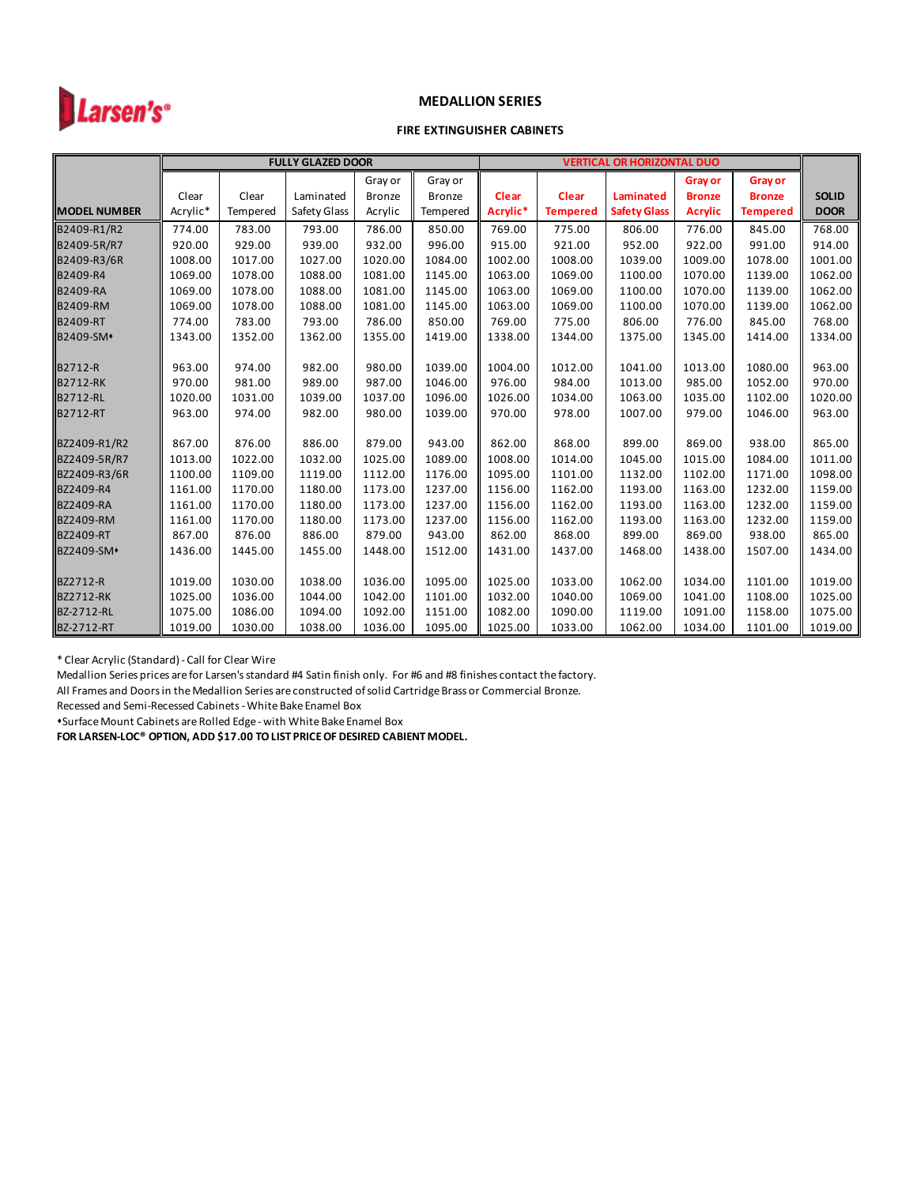

# **MEDALLION SERIES**

#### **FIRE EXTINGUISHER CABINETS**

|                       |          |          | <b>FULLY GLAZED DOOR</b> |               |               |          |                 | <b>VERTICAL OR HORIZONTAL DUO</b> |                |                 |              |
|-----------------------|----------|----------|--------------------------|---------------|---------------|----------|-----------------|-----------------------------------|----------------|-----------------|--------------|
|                       |          |          |                          | Gray or       | Gray or       |          |                 |                                   | <b>Gray or</b> | <b>Gray or</b>  |              |
|                       | Clear    | Clear    | Laminated                | <b>Bronze</b> | <b>Bronze</b> | Clear    | Clear           | Laminated                         | <b>Bronze</b>  | <b>Bronze</b>   | <b>SOLID</b> |
| <b>MODEL NUMBER</b>   | Acrylic* | Tempered | Safety Glass             | Acrylic       | Tempered      | Acrylic* | <b>Tempered</b> | <b>Safety Glass</b>               | <b>Acrylic</b> | <b>Tempered</b> | <b>DOOR</b>  |
| B2409-R1/R2           | 774.00   | 783.00   | 793.00                   | 786.00        | 850.00        | 769.00   | 775.00          | 806.00                            | 776.00         | 845.00          | 768.00       |
| B2409-5R/R7           | 920.00   | 929.00   | 939.00                   | 932.00        | 996.00        | 915.00   | 921.00          | 952.00                            | 922.00         | 991.00          | 914.00       |
| B2409-R3/6R           | 1008.00  | 1017.00  | 1027.00                  | 1020.00       | 1084.00       | 1002.00  | 1008.00         | 1039.00                           | 1009.00        | 1078.00         | 1001.00      |
| B2409-R4              | 1069.00  | 1078.00  | 1088.00                  | 1081.00       | 1145.00       | 1063.00  | 1069.00         | 1100.00                           | 1070.00        | 1139.00         | 1062.00      |
| <b>B2409-RA</b>       | 1069.00  | 1078.00  | 1088.00                  | 1081.00       | 1145.00       | 1063.00  | 1069.00         | 1100.00                           | 1070.00        | 1139.00         | 1062.00      |
| <b>B2409-RM</b>       | 1069.00  | 1078.00  | 1088.00                  | 1081.00       | 1145.00       | 1063.00  | 1069.00         | 1100.00                           | 1070.00        | 1139.00         | 1062.00      |
| <b>B2409-RT</b>       | 774.00   | 783.00   | 793.00                   | 786.00        | 850.00        | 769.00   | 775.00          | 806.00                            | 776.00         | 845.00          | 768.00       |
| B2409-SM <sup>+</sup> | 1343.00  | 1352.00  | 1362.00                  | 1355.00       | 1419.00       | 1338.00  | 1344.00         | 1375.00                           | 1345.00        | 1414.00         | 1334.00      |
|                       |          |          |                          |               |               |          |                 |                                   |                |                 |              |
| B2712-R               | 963.00   | 974.00   | 982.00                   | 980.00        | 1039.00       | 1004.00  | 1012.00         | 1041.00                           | 1013.00        | 1080.00         | 963.00       |
| <b>B2712-RK</b>       | 970.00   | 981.00   | 989.00                   | 987.00        | 1046.00       | 976.00   | 984.00          | 1013.00                           | 985.00         | 1052.00         | 970.00       |
| <b>B2712-RL</b>       | 1020.00  | 1031.00  | 1039.00                  | 1037.00       | 1096.00       | 1026.00  | 1034.00         | 1063.00                           | 1035.00        | 1102.00         | 1020.00      |
| <b>B2712-RT</b>       | 963.00   | 974.00   | 982.00                   | 980.00        | 1039.00       | 970.00   | 978.00          | 1007.00                           | 979.00         | 1046.00         | 963.00       |
|                       |          |          |                          |               |               |          |                 |                                   |                |                 |              |
| BZ2409-R1/R2          | 867.00   | 876.00   | 886.00                   | 879.00        | 943.00        | 862.00   | 868.00          | 899.00                            | 869.00         | 938.00          | 865.00       |
| BZ2409-5R/R7          | 1013.00  | 1022.00  | 1032.00                  | 1025.00       | 1089.00       | 1008.00  | 1014.00         | 1045.00                           | 1015.00        | 1084.00         | 1011.00      |
| BZ2409-R3/6R          | 1100.00  | 1109.00  | 1119.00                  | 1112.00       | 1176.00       | 1095.00  | 1101.00         | 1132.00                           | 1102.00        | 1171.00         | 1098.00      |
| BZ2409-R4             | 1161.00  | 1170.00  | 1180.00                  | 1173.00       | 1237.00       | 1156.00  | 1162.00         | 1193.00                           | 1163.00        | 1232.00         | 1159.00      |
| <b>BZ2409-RA</b>      | 1161.00  | 1170.00  | 1180.00                  | 1173.00       | 1237.00       | 1156.00  | 1162.00         | 1193.00                           | 1163.00        | 1232.00         | 1159.00      |
| <b>BZ2409-RM</b>      | 1161.00  | 1170.00  | 1180.00                  | 1173.00       | 1237.00       | 1156.00  | 1162.00         | 1193.00                           | 1163.00        | 1232.00         | 1159.00      |
| <b>BZ2409-RT</b>      | 867.00   | 876.00   | 886.00                   | 879.00        | 943.00        | 862.00   | 868.00          | 899.00                            | 869.00         | 938.00          | 865.00       |
| BZ2409-SM*            | 1436.00  | 1445.00  | 1455.00                  | 1448.00       | 1512.00       | 1431.00  | 1437.00         | 1468.00                           | 1438.00        | 1507.00         | 1434.00      |
|                       |          |          |                          |               |               |          |                 |                                   |                |                 |              |
| BZ2712-R              | 1019.00  | 1030.00  | 1038.00                  | 1036.00       | 1095.00       | 1025.00  | 1033.00         | 1062.00                           | 1034.00        | 1101.00         | 1019.00      |
| <b>BZ2712-RK</b>      | 1025.00  | 1036.00  | 1044.00                  | 1042.00       | 1101.00       | 1032.00  | 1040.00         | 1069.00                           | 1041.00        | 1108.00         | 1025.00      |
| BZ-2712-RL            | 1075.00  | 1086.00  | 1094.00                  | 1092.00       | 1151.00       | 1082.00  | 1090.00         | 1119.00                           | 1091.00        | 1158.00         | 1075.00      |
| BZ-2712-RT            | 1019.00  | 1030.00  | 1038.00                  | 1036.00       | 1095.00       | 1025.00  | 1033.00         | 1062.00                           | 1034.00        | 1101.00         | 1019.00      |

\* Clear Acrylic (Standard) - Call for Clear Wire

Medallion Series prices are for Larsen's standard #4 Satin finish only. For #6 and #8 finishes contact the factory.

All Frames and Doors in the Medallion Series are constructed of solid Cartridge Brass or Commercial Bronze.

Recessed and Semi-Recessed Cabinets - White Bake Enamel Box

\*Surface Mount Cabinets are Rolled Edge - with White Bake Enamel Box

**FOR LARSEN-LOC® OPTION, ADD \$17.00 TO LIST PRICE OF DESIRED CABIENT MODEL.**